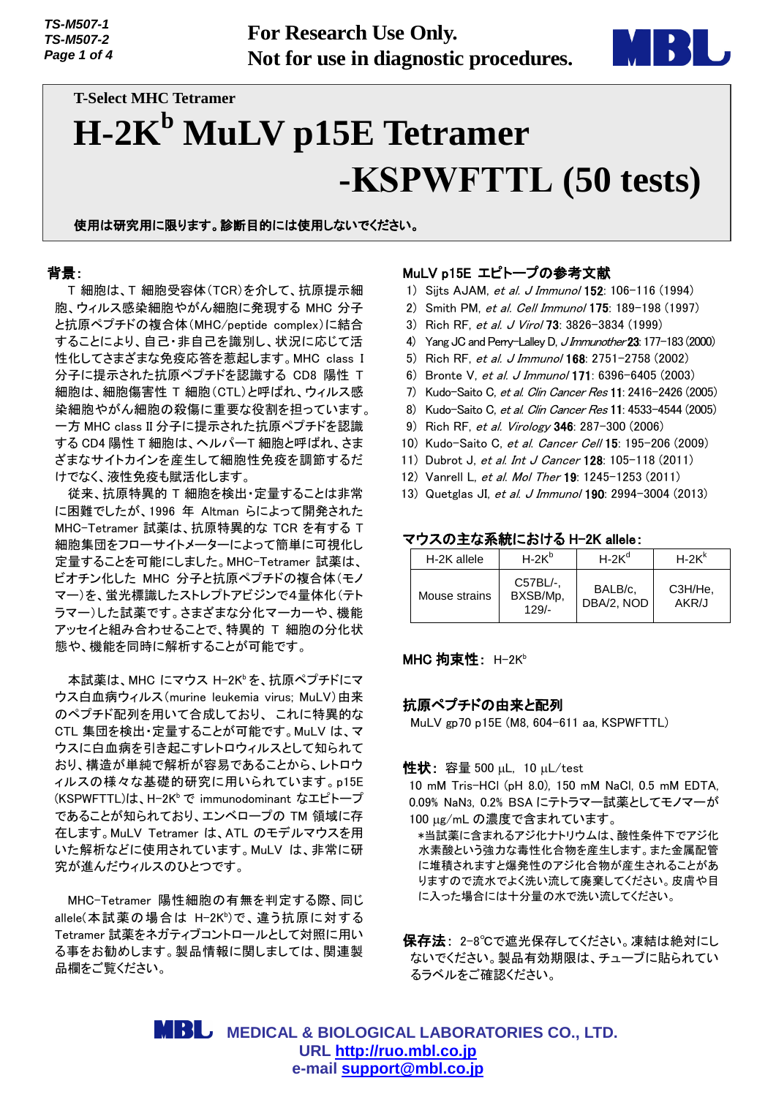**For Research Use Only. Not for use in diagnostic procedures.**



# **T-Select MHC Tetramer H-2K<sup>b</sup> MuLV p15E Tetramer -KSPWFTTL (50 tests)**

使用は研究用に限ります。診断目的には使用しないでください。

#### 背景:

T 細胞は、T 細胞受容体(TCR)を介して、抗原提示細 胞、ウィルス感染細胞やがん細胞に発現する MHC 分子 と抗原ペプチドの複合体(MHC/peptide complex)に結合 することにより、自己・非自己を識別し、状況に応じて活 性化してさまざまな免疫応答を惹起します。MHC class I 分子に提示された抗原ペプチドを認識する CD8 陽性 T 細胞は、細胞傷害性 T 細胞(CTL)と呼ばれ、ウィルス感 染細胞やがん細胞の殺傷に重要な役割を担っています。 一方 MHC class II 分子に提示された抗原ペプチドを認識 する CD4 陽性 T 細胞は、ヘルパーT 細胞と呼ばれ、さま ざまなサイトカインを産生して細胞性免疫を調節するだ けでなく、液性免疫も賦活化します。

従来、抗原特異的 T 細胞を検出・定量することは非常 に困難でしたが、1996 年 Altman らによって開発された MHC-Tetramer 試薬は、抗原特異的な TCR を有する T 細胞集団をフローサイトメーターによって簡単に可視化し 定量することを可能にしました。MHC-Tetramer 試薬は、 ビオチン化した MHC 分子と抗原ペプチドの複合体(モノ マー)を、蛍光標識したストレプトアビジンで4量体化(テト ラマー)した試薬です。さまざまな分化マーカーや、機能 アッセイと組み合わせることで、特異的 T 細胞の分化状 態や、機能を同時に解析することが可能です。

本試薬は、MHC にマウス H-2Kb を、抗原ペプチドにマ ウス白血病ウィルス(murine leukemia virus; MuLV)由来 のペプチド配列を用いて合成しており、 これに特異的な CTL 集団を検出・定量することが可能です。MuLV は、マ ウスに白血病を引き起こすレトロウィルスとして知られて おり、構造が単純で解析が容易であることから、レトロウ ィルスの様々な基礎的研究に用いられています。p15E (KSPWFTTL)は、H-2K<sup>b</sup> で immunodominant なエピトープ であることが知られており、エンベロープの TM 領域に存 在します。MuLV Tetramer は、ATL のモデルマウスを用 いた解析などに使用されています。MuLV は、非常に研 究が進んだウィルスのひとつです。

MHC-Tetramer 陽性細胞の有無を判定する際、同じ allele(本試薬の場合は H-2K<sup>b</sup>)で、違う抗原に対する Tetramer 試薬をネガティブコントロールとして対照に用い る事をお勧めします。製品情報に関しましては、関連製 品欄をご覧ください。

## MuLV p15E エピトープの参考文献

- 1) Sijts AJAM, et al. J Immunol 152: 106-116 (1994)
- 2) Smith PM, et al. Cell Immunol 175: 189-198 (1997)
- 3) Rich RF, et al. J Virol 73: 3826-3834 (1999)
- 4) Yang JC and Perry-Lalley D, JImmunother 23: 177-183 (2000)
- 5) Rich RF, et al. J Immunol 168: 2751-2758 (2002)
- 6) Bronte V, et al. J Immunol 171: 6396-6405 (2003)
- 7) Kudo-Saito C, et al. Clin Cancer Res 11: 2416-2426 (2005)
- 8) Kudo-Saito C, et al. Clin Cancer Res 11: 4533-4544 (2005)
- 9) Rich RF, et al. Virology 346: 287-300 (2006)
- 10) Kudo-Saito C, et al. Cancer Cell 15: 195-206 (2009)
- 11) Dubrot J, et al. Int J Cancer 128: 105-118 (2011)
- 12) Vanrell L, et al. Mol Ther 19: 1245-1253 (2011)
- 13) Quetglas JI, et al. J Immunol 190: 2994-3004 (2013)

#### マウスの主な系統における H-2K allele:

| H-2K allele   | $H-2K^b$                        | $H-2K^{d}$            | $H-2Kk$          |
|---------------|---------------------------------|-----------------------|------------------|
| Mouse strains | C57BL/-.<br>BXSB/Mp.<br>$129/-$ | BALB/c.<br>DBA/2, NOD | C3H/He,<br>AKR/J |

#### **MHC 拘束性: H-2Kb**

## 抗原ペプチドの由来と配列

MuLV gp70 p15E (M8, 604-611 aa, KSPWFTTL)

性状: 容量 500 uL, 10 uL/test

10 mM Tris-HCl (pH 8.0), 150 mM NaCl, 0.5 mM EDTA, 0.09% NaN3, 0.2% BSA にテトラマー試薬としてモノマーが 100 µg/mL の濃度で含まれています。

 \*当試薬に含まれるアジ化ナトリウムは、酸性条件下でアジ化 水素酸という強力な毒性化合物を産生します。また金属配管 に堆積されますと爆発性のアジ化合物が産生されることがあ りますので流水でよく洗い流して廃棄してください。皮膚や目 に入った場合には十分量の水で洗い流してください。

保存法: 2-8℃で遮光保存してください。凍結は絶対にし ないでください。製品有効期限は、チューブに貼られてい るラベルをご確認ください。

 **MEDICAL & BIOLOGICAL LABORATORIES CO., LTD. URL [http://ruo.mbl.co.jp](http://ruo.mbl.co.jp/) e-mail [support@mbl.co.jp](mailto:support@mbl.co.jp)**

*TS-M507-1 TS-M507-2 Page 1 of 4*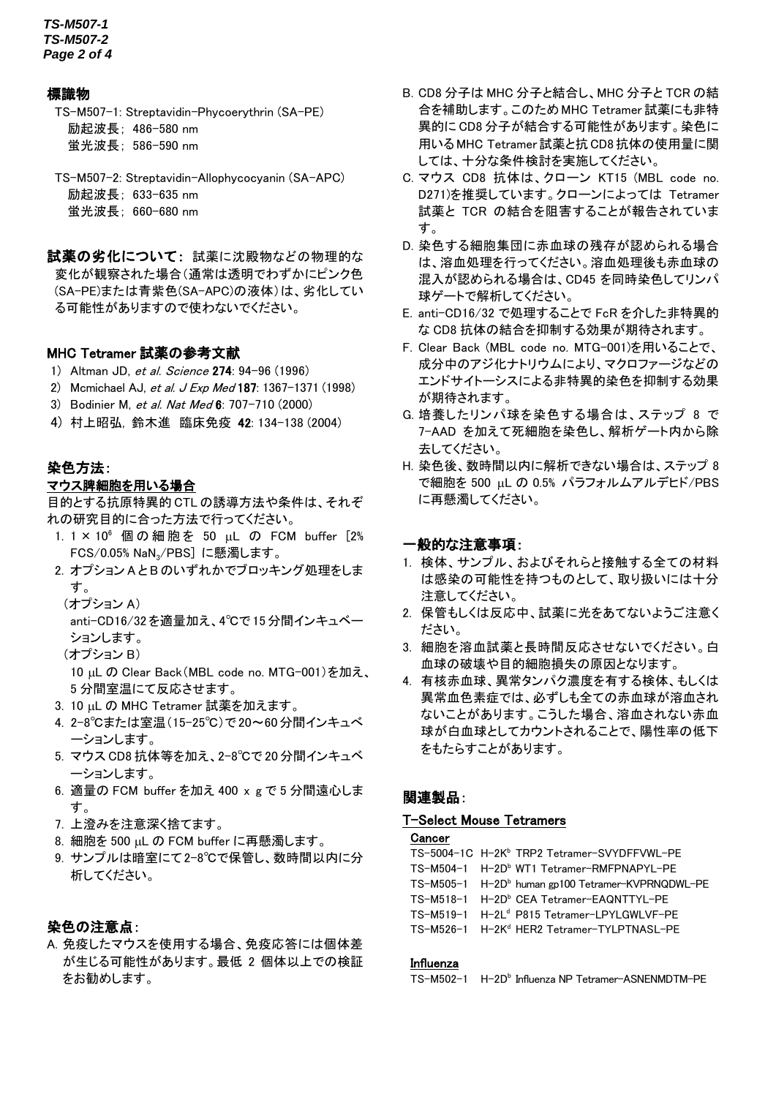*TS-M507-1 TS-M507-2 Page 2 of 4*

## 標識物

TS-M507-1: Streptavidin-Phycoerythrin (SA-PE) 励起波長; 486-580 nm 蛍光波長; 586-590 nm

TS-M507-2: Streptavidin-Allophycocyanin (SA-APC) 励起波長; 633-635 nm 蛍光波長; 660-680 nm

試薬の劣化について: 試薬に沈殿物などの物理的な 変化が観察された場合(通常は透明でわずかにピンク色 (SA-PE)または青紫色(SA-APC)の液体)は、劣化してい る可能性がありますので使わないでください。

## MHC Tetramer 試薬の参考文献

- 1) Altman JD, et al. Science 274: 94-96 (1996)
- 2) Mcmichael AJ, et al. J Exp Med 187: 1367-1371 (1998)
- 3) Bodinier M, et al. Nat Med 6: 707-710 (2000)
- 4) 村上昭弘, 鈴木進 臨床免疫 42: 134-138 (2004)

## 染色方法:

## マウス脾細胞を用いる場合

目的とする抗原特異的 CTL の誘導方法や条件は、それぞ れの研究目的に合った方法で行ってください。

- 1. 1 × 10<sup>6</sup> 個の細胞を 50 uL の FCM buffer [2% FCS/0.05% NaN3/PBS] に懸濁します。
- 2. オプション A とB のいずれかでブロッキング処理をしま す。
	- (オプション A)

anti-CD16/32 を適量加え、4℃で 15分間インキュベー ションします。

(オプション B)

10 µL の Clear Back (MBL code no. MTG-001)を加え、 5 分間室温にて反応させます。

- 3. 10 uL の MHC Tetramer 試薬を加えます。
- 4. 2-8℃または室温(15-25℃)で 20~60分間インキュべ ーションします。
- 5. マウス CD8 抗体等を加え、2-8℃で 20 分間インキュベ ーションします。
- 6. 適量の FCM buffer を加え 400 x g で 5 分間遠心しま す。
- 7. 上澄みを注意深く捨てます。
- 8. 細胞を 500 uL の FCM buffer に再懸濁します。
- 9. サンプルは暗室にて2-8℃で保管し、数時間以内に分 析してください。

## 染色の注意点:

A. 免疫したマウスを使用する場合、免疫応答には個体差 が生じる可能性があります。最低 2 個体以上での検証 をお勧めします。

- B. CD8 分子は MHC 分子と結合し、MHC 分子と TCR の結 合を補助します。このためMHC Tetramer 試薬にも非特 異的に CD8 分子が結合する可能性があります。染色に 用いる MHC Tetramer試薬と抗CD8抗体の使用量に関 しては、十分な条件検討を実施してください。
- C. マウス CD8 抗体は、クローン KT15 (MBL code no. D271)を推奨しています。クローンによっては Tetramer 試薬と TCR の結合を阻害することが報告されていま す。
- D. 染色する細胞集団に赤血球の残存が認められる場合 は、溶血処理を行ってください。溶血処理後も赤血球の 混入が認められる場合は、CD45 を同時染色してリンパ 球ゲートで解析してください。
- E. anti-CD16/32 で処理することで FcR を介した非特異的 な CD8 抗体の結合を抑制する効果が期待されます。
- F. Clear Back (MBL code no. MTG-001)を用いることで、 成分中のアジ化ナトリウムにより、マクロファージなどの エンドサイトーシスによる非特異的染色を抑制する効果 が期待されます。
- G. 培養したリンパ球を染色する場合は、ステップ 8 で 7-AAD を加えて死細胞を染色し、解析ゲート内から除 去してください。
- H. 染色後、数時間以内に解析できない場合は、ステップ 8 で細胞を 500 uL の 0.5% パラフォルムアルデヒド/PBS に再懸濁してください。

#### 一般的な注意事項:

- 1. 検体、サンプル、およびそれらと接触する全ての材料 は感染の可能性を持つものとして、取り扱いには十分 注意してください。
- 2. 保管もしくは反応中、試薬に光をあてないようご注意く ださい。
- 3. 細胞を溶血試薬と長時間反応させないでください。白 血球の破壊や目的細胞損失の原因となります。
- 4. 有核赤血球、異常タンパク濃度を有する検体、もしくは 異常血色素症では、必ずしも全ての赤血球が溶血され ないことがあります。こうした場合、溶血されない赤血 球が白血球としてカウントされることで、陽性率の低下 をもたらすことがあります。

## 関連製品:

#### T-Select Mouse Tetramers

#### **Cancer**

- TS-5004-1C H-2K<sup>b</sup> TRP2 Tetramer-SVYDFFVWL-PE
- TS-M504-1 H-2D<sup>b</sup> WT1 Tetramer-RMFPNAPYL-PE TS-M505-1 H-2D<sup>b</sup> human gp100 Tetramer-KVPRNQDWL-PE
- TS-M518-1 H-2D<sup>b</sup> CEA Tetramer-EAQNTTYL-PE
- TS-M519-1 H-2L<sup>d</sup> P815 Tetramer-LPYLGWLVF-PE
- TS-M526-1 H-2K<sup>d</sup> HER2 Tetramer-TYLPTNASL-PE

#### **Influenza**

TS-M502-1 H-2D<sup>b</sup> Influenza NP Tetramer-ASNENMDTM-PE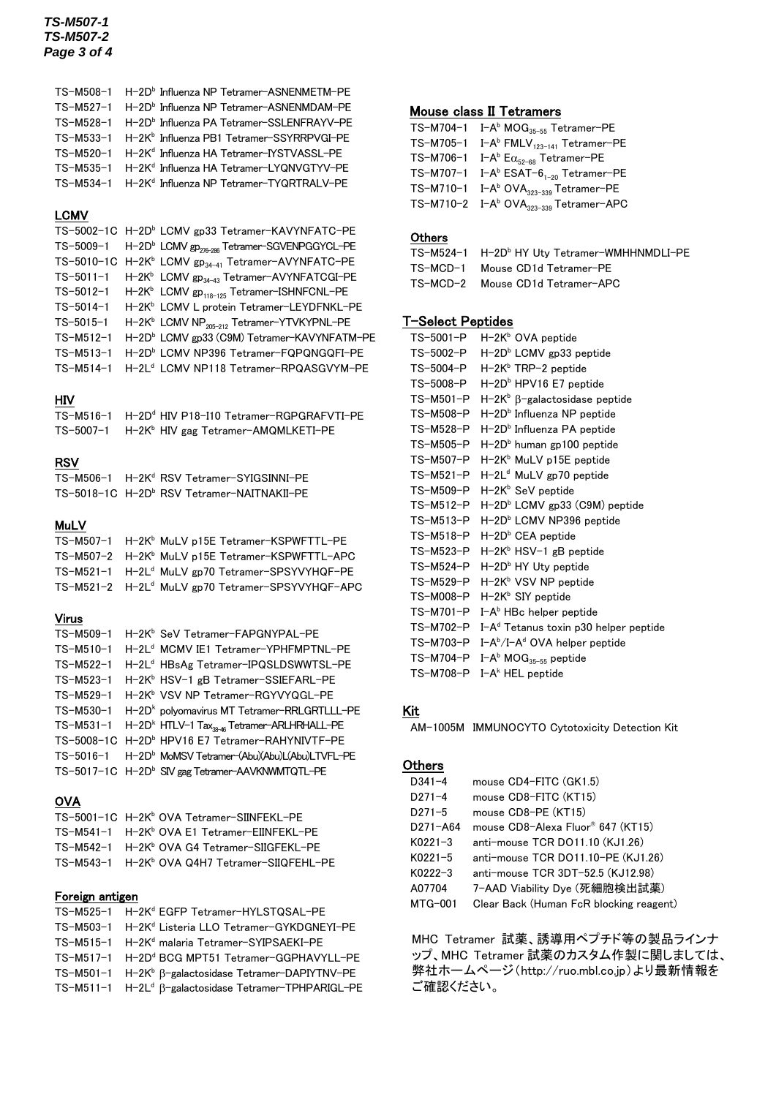#### *TS-M507-1 TS-M507-2 Page 3 of 4*

| TS-M508-1 H-2D <sup>b</sup> Influenza NP Tetramer-ASNENMETM-PE  |
|-----------------------------------------------------------------|
| TS-M527-1 H-2D <sup>b</sup> Influenza NP Tetramer-ASNENMDAM-PE  |
| TS-M528-1 H-2Db Influenza PA Tetramer-SSLENFRAYV-PE             |
| TS-M533-1 H-2K <sup>b</sup> Influenza PB1 Tetramer-SSYRRPVGI-PE |
| TS-M520-1 H-2K <sup>d</sup> Influenza HA Tetramer-IYSTVASSL-PE  |
| TS-M535-1 H-2K <sup>d</sup> Influenza HA Tetramer-LYQNVGTYV-PE  |
| TS-M534-1 H-2K <sup>d</sup> Influenza NP Tetramer-TYQRTRALV-PE  |

## LCMV

|                 | TS-5002-1C H-2D <sup>b</sup> LCMV gp33 Tetramer-KAVYNFATC-PE                   |
|-----------------|--------------------------------------------------------------------------------|
|                 | TS-5009-1 H-2D <sup>b</sup> LCMV gp <sub>276-286</sub> Tetramer-SGVENPGGYCL-PE |
|                 | TS-5010-1C H-2K <sup>b</sup> LCMV gp <sub>34-41</sub> Tetramer-AVYNFATC-PE     |
|                 | TS-5011-1 H-2K <sup>b</sup> LCMV gp <sub>34-43</sub> Tetramer-AVYNFATCGI-PE    |
|                 | TS-5012-1 H-2K <sup>b</sup> LCMV gp <sub>118-125</sub> Tetramer-ISHNFCNL-PE    |
| TS-5014-1       | H-2K <sup>b</sup> LCMV L protein Tetramer-LEYDFNKL-PE                          |
| $TS - 5015 - 1$ | H-2K <sup>b</sup> LCMV NP <sub>205-212</sub> Tetramer-YTVKYPNL-PE              |
| $TS-M512-1$     | H-2D <sup>b</sup> LCMV gp33 (C9M) Tetramer-KAVYNFATM-PE                        |
| TS-M513-1       | H-2D <sup>b</sup> LCMV NP396 Tetramer-FQPQNGQFI-PE                             |
| $TS-M514-1$     | H-2L <sup>d</sup> LCMV NP118 Tetramer-RPQASGVYM-PE                             |

#### HIV

| TS-M516-1 H-2D <sup>d</sup> HIV P18-I10 Tetramer-RGPGRAFVTI-PE |
|----------------------------------------------------------------|
| TS-5007-1 H-2K <sup>b</sup> HIV gag Tetramer-AMQMLKETI-PE      |

#### RSV

TS-M506-1 H-2K<sup>d</sup> RSV Tetramer-SYIGSINNI-PE TS-5018-1C H-2D<sup>b</sup> RSV Tetramer-NAITNAKII-PE

#### MuLV

| TS-M507-1 H-2K <sup>b</sup> MuLV p15E Tetramer-KSPWFTTL-PE   |
|--------------------------------------------------------------|
| TS-M507-2 H-2K <sup>b</sup> MuLV p15E Tetramer-KSPWFTTL-APC  |
| TS-M521-1 H-2L <sup>d</sup> MuLV gp70 Tetramer-SPSYVYHQF-PE  |
| TS-M521-2 H-2L <sup>d</sup> MuLV gp70 Tetramer-SPSYVYHQF-APC |

#### Virus

| TS-M509-1   | H-2K <sup>b</sup> SeV Tetramer-FAPGNYPAL-PE                                   |
|-------------|-------------------------------------------------------------------------------|
| TS-M510-1   | H-2L <sup>d</sup> MCMV IE1 Tetramer-YPHFMPTNL-PE                              |
| $TS-M522-1$ | H-2L <sup>d</sup> HBsAg Tetramer-IPQSLDSWWTSL-PE                              |
| TS-M523-1   | H-2K <sup>b</sup> HSV-1 gB Tetramer-SSIEFARL-PE                               |
|             | TS-M529-1 H-2K <sup>b</sup> VSV NP Tetramer-RGYVYQGL-PE                       |
|             | TS-M530-1 H-2D <sup>k</sup> polvomavirus MT Tetramer-RRLGRTLLL-PE             |
|             | TS-M531-1 H-2D <sup>k</sup> HTLV-1 Tax <sub>30-46</sub> Tetramer-ARLHRHALL-PE |
|             | TS-5008-1C H-2D <sup>b</sup> HPV16 E7 Tetramer-RAHYNIVTF-PE                   |
|             | TS-5016-1 H-2D <sup>b</sup> MoMSV Tetramer-(Abu)(Abu)L(Abu)LTVFL-PE           |
|             | TS-5017-1C H-2D <sup>b</sup> SIV gag Tetramer-AAVKNWMTQTL-PE                  |

## **OVA**

| TS-5001-1C H-2K <sup>b</sup> OVA Tetramer-SIINFEKL-PE     |
|-----------------------------------------------------------|
| TS-M541-1 H-2K <sup>b</sup> OVA F1 Tetramer-FIINFFKL-PF   |
| TS-M542-1 H-2K <sup>b</sup> OVA G4 Tetramer-SIIGFEKL-PE   |
| TS-M543-1 H-2K <sup>b</sup> OVA Q4H7 Tetramer-SIIQFEHL-PE |

#### Foreign antigen

| TS-M525-1 H-2Kd EGFP Tetramer-HYLSTQSAL-PE                               |
|--------------------------------------------------------------------------|
| TS-M503-1 H-2K <sup>d</sup> Listeria LLO Tetramer-GYKDGNEYI-PE           |
| TS-M515-1 H-2K <sup>d</sup> malaria Tetramer-SYIPSAEKI-PE                |
| TS-M517-1 H-2D <sup>d</sup> BCG MPT51 Tetramer-GGPHAVYLL-PE              |
| TS-M501-1 H-2K <sup>b</sup> $\beta$ -galactosidase Tetramer-DAPIYTNV-PE  |
| TS-M511-1 H-2L <sup>d</sup> $\beta$ -galactosidase Tetramer-TPHPARIGL-PE |

## Mouse class II Tetramers

| TS-M704-1 I-A <sup>b</sup> MOG <sub>35-55</sub> Tetramer-PE    |
|----------------------------------------------------------------|
| TS-M705-1 I-A <sup>b</sup> FMLV <sub>123-141</sub> Tetramer-PE |
| TS-M706-1 I-A <sup>b</sup> $E\alpha_{52-68}$ Tetramer-PE       |
| TS-M707-1 I-A <sup>b</sup> ESAT- $6_{1-20}$ Tetramer-PE        |
| TS-M710-1 $I-A^b$ OVA <sub>323-339</sub> Tetramer-PE           |
| TS-M710-2 I-A <sup>b</sup> OVA <sub>323-339</sub> Tetramer-APC |

## **Others**

| TS-M524-1 H-2D <sup>b</sup> HY Utv Tetramer-WMHHNMDLI-PE |
|----------------------------------------------------------|
| TS-MCD-1 Mouse CD1d Tetramer-PE                          |
| TS-MCD-2 Mouse CD1d Tetramer-APC                         |

## T-Select Peptides

| H-2K <sup>b</sup> β-galactosidase peptide                   |
|-------------------------------------------------------------|
|                                                             |
|                                                             |
|                                                             |
|                                                             |
|                                                             |
|                                                             |
| $H - 2Db$ LCMV gp33 (C9M) peptide                           |
|                                                             |
|                                                             |
|                                                             |
|                                                             |
|                                                             |
|                                                             |
|                                                             |
| TS-M702-P I-A <sup>d</sup> Tetanus toxin p30 helper peptide |
|                                                             |
|                                                             |
|                                                             |
|                                                             |

## Kit

AM-1005M IMMUNOCYTO Cytotoxicity Detection Kit

## **Others**

| $D341 - 4$  | mouse CD4-FITC (GK1.5)                  |
|-------------|-----------------------------------------|
| $D271 - 4$  | mouse CD8-FITC (KT15)                   |
| $D271 - 5$  | mouse CD8-PE (KT15)                     |
| D271-A64    | mouse CD8-Alexa Fluor® 647 (KT15)       |
| $K0221 - 3$ | anti-mouse TCR DO11.10 (KJ1.26)         |
| $K0221 - 5$ | anti-mouse TCR DO11.10-PE (KJ1.26)      |
| $K0222 - 3$ | anti-mouse TCR 3DT-52.5 (KJ12.98)       |
| A07704      | 7-AAD Viability Dye (死細胞検出試薬)           |
| MTG-001     | Clear Back (Human FcR blocking reagent) |

MHC Tetramer 試薬、誘導用ペプチド等の製品ラインナ ップ、MHC Tetramer 試薬のカスタム作製に関しましては、 弊社ホームページ(http://ruo.mbl.co.jp)より最新情報を ご確認ください。